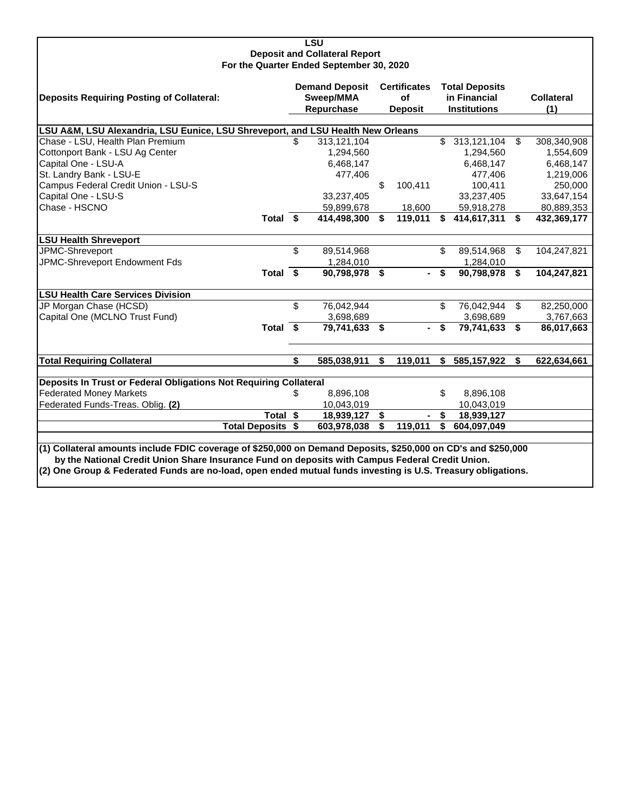| LSU                                                                                                           |                                                  |               |                                             |         |                                                              |                |               |                          |  |  |  |
|---------------------------------------------------------------------------------------------------------------|--------------------------------------------------|---------------|---------------------------------------------|---------|--------------------------------------------------------------|----------------|---------------|--------------------------|--|--|--|
| <b>Deposit and Collateral Report</b><br>For the Quarter Ended September 30, 2020                              |                                                  |               |                                             |         |                                                              |                |               |                          |  |  |  |
| <b>Deposits Requiring Posting of Collateral:</b>                                                              | <b>Demand Deposit</b><br>Sweep/MMA<br>Repurchase |               | <b>Certificates</b><br>of<br><b>Deposit</b> |         | <b>Total Deposits</b><br>in Financial<br><b>Institutions</b> |                |               | <b>Collateral</b><br>(1) |  |  |  |
|                                                                                                               |                                                  |               |                                             |         |                                                              |                |               |                          |  |  |  |
| LSU A&M, LSU Alexandria, LSU Eunice, LSU Shreveport, and LSU Health New Orleans                               | \$.                                              |               |                                             |         | \$.                                                          |                | $\mathbf{\$}$ |                          |  |  |  |
| Chase - LSU, Health Plan Premium                                                                              |                                                  | 313,121,104   |                                             |         |                                                              | 313,121,104    |               | 308,340,908              |  |  |  |
| Cottonport Bank - LSU Ag Center                                                                               |                                                  | 1,294,560     |                                             |         |                                                              | 1,294,560      |               | 1,554,609                |  |  |  |
| Capital One - LSU-A                                                                                           |                                                  | 6,468,147     |                                             |         |                                                              | 6,468,147      |               | 6,468,147                |  |  |  |
| St. Landry Bank - LSU-E                                                                                       |                                                  | 477,406       |                                             |         |                                                              | 477,406        |               | 1,219,006                |  |  |  |
| Campus Federal Credit Union - LSU-S                                                                           |                                                  |               | \$                                          | 100,411 |                                                              | 100,411        |               | 250,000                  |  |  |  |
| Capital One - LSU-S                                                                                           |                                                  | 33,237,405    |                                             |         |                                                              | 33,237,405     |               | 33,647,154               |  |  |  |
| Chase - HSCNO                                                                                                 |                                                  | 59,899,678    |                                             | 18,600  |                                                              | 59,918,278     |               | 80,889,353               |  |  |  |
| Total \$                                                                                                      |                                                  | 414,498,300   | \$                                          | 119,011 | \$                                                           | 414,617,311 \$ |               | 432,369,177              |  |  |  |
| <b>LSU Health Shreveport</b>                                                                                  |                                                  |               |                                             |         |                                                              |                |               |                          |  |  |  |
| JPMC-Shreveport                                                                                               | \$                                               | 89,514,968    |                                             |         | \$                                                           | 89,514,968     | \$            | 104,247,821              |  |  |  |
| JPMC-Shreveport Endowment Fds                                                                                 |                                                  | 1,284,010     |                                             |         |                                                              | 1,284,010      |               |                          |  |  |  |
| Total \$                                                                                                      |                                                  | 90,798,978 \$ |                                             |         | \$                                                           | 90,798,978     | \$            | 104,247,821              |  |  |  |
| <b>LSU Health Care Services Division</b>                                                                      |                                                  |               |                                             |         |                                                              |                |               |                          |  |  |  |
| JP Morgan Chase (HCSD)                                                                                        | \$                                               | 76,042,944    |                                             |         | \$                                                           | 76,042,944     | \$            | 82,250,000               |  |  |  |
| Capital One (MCLNO Trust Fund)                                                                                |                                                  | 3,698,689     |                                             |         |                                                              | 3,698,689      |               | 3,767,663                |  |  |  |
| Total \$                                                                                                      |                                                  | 79,741,633 \$ |                                             |         | \$                                                           | 79,741,633     | -\$           | 86,017,663               |  |  |  |
|                                                                                                               |                                                  |               |                                             |         |                                                              |                |               |                          |  |  |  |
| <b>Total Requiring Collateral</b>                                                                             | \$                                               | 585,038,911   | \$                                          | 119,011 | \$                                                           | 585,157,922    | Ŝ.            | 622,634,661              |  |  |  |
| Deposits In Trust or Federal Obligations Not Requiring Collateral                                             |                                                  |               |                                             |         |                                                              |                |               |                          |  |  |  |
| <b>Federated Money Markets</b>                                                                                | \$                                               | 8,896,108     |                                             |         | \$                                                           | 8,896,108      |               |                          |  |  |  |
| Federated Funds-Treas. Oblig. (2)                                                                             |                                                  | 10,043,019    |                                             |         |                                                              | 10,043,019     |               |                          |  |  |  |
| Total \$                                                                                                      |                                                  | 18,939,127    | \$                                          |         | \$                                                           | 18,939,127     |               |                          |  |  |  |
| <b>Total Deposits \$</b>                                                                                      |                                                  | 603,978,038   | \$                                          | 119,011 | \$                                                           | 604,097,049    |               |                          |  |  |  |
|                                                                                                               |                                                  |               |                                             |         |                                                              |                |               |                          |  |  |  |
| (1) Collateral amounts include FDIC coverage of \$250,000 on Demand Deposits, \$250,000 on CD's and \$250,000 |                                                  |               |                                             |         |                                                              |                |               |                          |  |  |  |
| by the National Credit Union Share Insurance Fund on deposits with Campus Federal Credit Union.               |                                                  |               |                                             |         |                                                              |                |               |                          |  |  |  |
| (2) One Group & Federated Funds are no-load, open ended mutual funds investing is U.S. Treasury obligations.  |                                                  |               |                                             |         |                                                              |                |               |                          |  |  |  |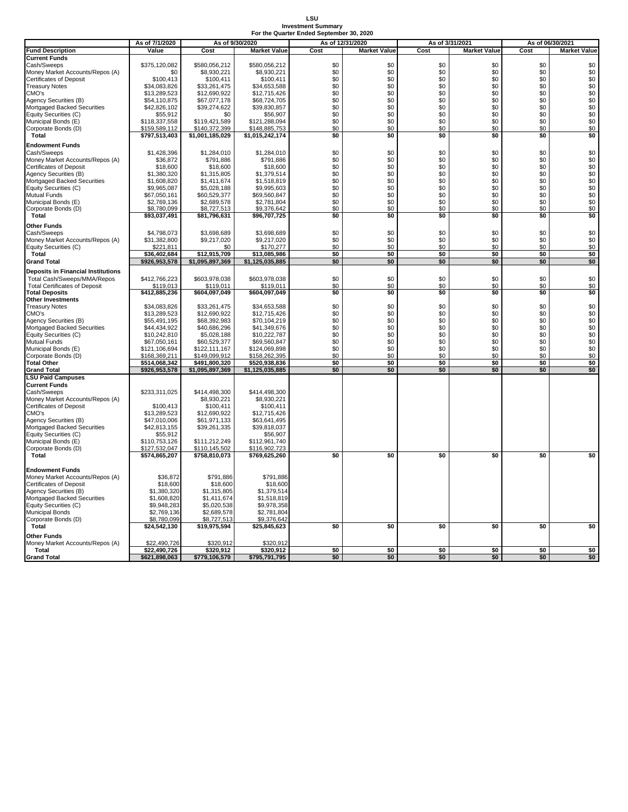### **LSU Investment Summary For the Quarter Ended September 30, 2020**

|                                            | As of 7/1/2020                 |                                | As of 9/30/2020                |            | As of 12/31/2020    |            | As of 3/31/2021         | As of 06/30/2021 |                                      |
|--------------------------------------------|--------------------------------|--------------------------------|--------------------------------|------------|---------------------|------------|-------------------------|------------------|--------------------------------------|
| <b>Fund Description</b>                    | Value                          | Cost                           | <b>Market Value</b>            | Cost       | <b>Market Value</b> | Cost       | <b>Market Value</b>     | Cost             | <b>Market Value</b>                  |
| <b>Current Funds</b>                       |                                |                                |                                |            |                     |            |                         |                  |                                      |
| Cash/Sweeps                                | \$375,120,082                  | \$580,056,212                  | \$580,056,212                  | \$0        | \$0                 | \$0        | \$0                     | \$0              | \$0                                  |
| Money Market Accounts/Repos (A)            | \$0                            | \$8,930,221                    | \$8,930,221                    | \$0        | \$0                 | \$0        | \$0                     | \$0              | \$0                                  |
| <b>Certificates of Deposit</b>             | \$100,413                      | \$100,411                      | \$100,411                      | \$0        | \$0                 | \$0        | \$0                     | \$0              | \$0                                  |
| <b>Treasury Notes</b>                      | \$34.083.826                   | \$33,261,475                   | \$34,653,588                   | \$0        | \$0                 | \$0        | \$0                     | \$0              | \$0                                  |
| CMO's                                      | \$13,289,523                   | \$12,690,922                   | \$12,715,426                   | \$0        | \$0                 | \$0        | \$0                     | \$0              | \$0                                  |
| Agency Securities (B)                      | \$54,110,875                   | \$67,077,178                   | \$68,724,705                   | \$0        | \$0                 | \$0        | \$0                     | \$0              | $$0$<br>$$0$<br>$$0$<br>$$0$         |
| Mortgaged Backed Securities                | \$42,826,102                   | \$39,274,622                   | \$39,830,857                   | \$0        | \$0                 | \$0        | \$0                     | \$0              |                                      |
| Equity Securities (C)                      | \$55,912                       | \$0                            | \$56,907                       | \$0        | \$0                 | \$0        | \$0                     | \$0              |                                      |
| Municipal Bonds (E)                        | \$118,337,558<br>\$159.589.112 | \$119,421,589<br>\$140.372.399 | \$121,288,094<br>\$148.885.753 | \$0<br>\$0 | \$0<br>\$0          | \$0<br>\$0 | \$0<br>\$0              | \$0<br>\$0       | \$0                                  |
| Corporate Bonds (D)<br><b>Total</b>        | \$797,513,403                  | \$1,001,185,029                | \$1,015,242,174                | \$0        | \$0                 | \$0        | \$0                     | \$0              | \$0<br>\$0                           |
|                                            |                                |                                |                                |            |                     |            |                         |                  |                                      |
| <b>Endowment Funds</b>                     |                                |                                |                                |            |                     |            |                         |                  |                                      |
| Cash/Sweeps                                | \$1,428,396                    | \$1,284,010                    | \$1,284,010                    | \$0        | \$0                 | \$0        | \$0                     | \$0              | \$0                                  |
| Money Market Accounts/Repos (A)            | \$36,872                       | \$791,886                      | \$791,886                      | \$0        | \$0                 | \$0        | \$0                     | \$0              | $$0$$<br>$$0$                        |
| <b>Certificates of Deposit</b>             | \$18,600                       | \$18,600                       | \$18,600                       | \$0        | \$0                 | \$0        | \$0                     | \$0              |                                      |
| Agency Securities (B)                      | \$1,380,320                    | \$1,315,805                    | \$1,379,514                    | \$0        | \$0                 | \$0<br>\$0 | \$0<br>\$0              | \$0              | \$0<br>\$0                           |
| Mortgaged Backed Securities                | \$1,608,820                    | \$1,411,674                    | \$1,518,819                    | \$0        | \$0                 |            |                         | \$0              |                                      |
| Equity Securities (C)                      | \$9,965,087                    | \$5,028,188                    | \$9,995,603                    | \$0<br>\$0 | \$0<br>\$0          | \$0<br>\$0 | \$0<br>\$0              | \$0<br>\$0       | \$0<br>\$0                           |
| <b>Mutual Funds</b><br>Municipal Bonds (E) | \$67,050,161<br>\$2,769,136    | \$60,529,377<br>\$2,689,578    | \$69,560,847<br>\$2,781,804    | \$0        | \$0                 | \$0        | \$0                     | \$0              | \$0                                  |
| Corporate Bonds (D)                        | \$8,780,099                    | \$8,727,513                    | \$9,376,642                    | \$0        | \$0                 | \$0        | \$0                     | \$0              | \$0                                  |
| Total                                      | \$93,037,491                   | \$81,796,631                   | \$96,707,725                   | \$0        | \$0                 | \$0        | \$0                     | \$0              | \$0                                  |
|                                            |                                |                                |                                |            |                     |            |                         |                  |                                      |
| <b>Other Funds</b>                         |                                |                                |                                |            |                     |            |                         |                  |                                      |
| Cash/Sweeps                                | \$4,798,073                    | \$3,698,689                    | \$3,698,689                    | \$0        | \$0                 | \$0        | \$0                     | \$0              | \$0                                  |
| Money Market Accounts/Repos (A)            | \$31,382,800                   | \$9,217,020                    | \$9,217,020                    | \$0        | \$0                 | \$0        | \$0                     | \$0              | \$0                                  |
| Equity Securities (C)                      | \$221,811                      | \$0                            | \$170,277                      | \$0        | \$0                 | \$0        | \$0<br>\$0              | \$0              | \$0                                  |
| Total                                      | \$36,402,684                   | \$12,915,709                   | \$13,085,986                   | \$0        | \$0<br>\$0          | \$0<br>\$0 | \$0                     | \$0              | \$0<br>\$0                           |
| <b>Grand Total</b>                         | \$926,953,578                  | \$1,095,897,369                | \$1,125,035,885                | \$0        |                     |            |                         | \$0              |                                      |
| <b>Deposits in Financial Institutions</b>  |                                |                                |                                |            |                     |            |                         |                  |                                      |
| Total Cash/Sweeps/MMA/Repos                | \$412,766,223                  | \$603,978,038                  | \$603,978,038                  | \$0        | \$0                 | \$0        | \$0                     | \$0              | \$0                                  |
| <b>Total Certificates of Deposit</b>       | \$119,013                      | \$119,011                      | \$119,011                      | \$0        | \$0                 | \$0        | \$0                     | \$0              | \$0                                  |
| <b>Total Deposits</b>                      | \$412,885,236                  | \$604,097,049                  | \$604,097,049                  | \$0        | \$0                 | \$0        | $\overline{\textbf{S}}$ | \$0              | \$0                                  |
| <b>Other Investments</b>                   |                                |                                |                                |            | \$0                 |            | \$0                     |                  |                                      |
| <b>Treasury Notes</b><br>CMO's             | \$34,083,826<br>\$13,289,523   | \$33,261,475<br>\$12,690,922   | \$34,653,588<br>\$12,715,426   | \$0<br>\$0 | \$0                 | \$0<br>\$0 | \$0                     | \$0<br>\$0       | \$0<br>$\$0$                         |
| Agency Securities (B)                      | \$55,491,195                   | \$68,392,983                   | \$70,104,219                   | \$0        | \$0                 | \$0        | \$0                     | \$0              |                                      |
| Mortgaged Backed Securities                | \$44,434,922                   | \$40,686,296                   | \$41,349,676                   | \$0        | \$0                 | \$0        | \$0                     | \$0              | $$0$<br>$$0$<br>$$0$<br>$$0$<br>$$0$ |
| Equity Securities (C)                      | \$10,242,810                   | \$5,028,188                    | \$10,222,787                   | \$0        | \$0                 | \$0        | \$0                     | \$0              |                                      |
| <b>Mutual Funds</b>                        | \$67,050,161                   | \$60,529,377                   | \$69,560,847                   | \$0        | \$0                 | \$0        | \$0                     | \$0              |                                      |
| Municipal Bonds (E)                        | \$121,106,694                  | \$122,111,167                  | \$124,069,898                  | \$0        | \$0                 | \$0        | \$0                     | \$0              | \$0                                  |
| Corporate Bonds (D)                        | \$168.369.211                  | \$149.099.912                  | \$158,262,395                  | \$0        | \$0                 | \$0        | \$0                     | \$0              | \$0                                  |
| <b>Total Other</b>                         | \$514,068,342                  | \$491,800,320                  | \$520,938,836                  | \$0        | \$0                 | \$0        | \$0                     | \$0              | \$0                                  |
| <b>Grand Total</b>                         | \$926,953,578                  | \$1,095,897,369                | \$1,125,035,885                | \$0        | \$0                 | \$0        | \$0                     | \$0              | \$0                                  |
| <b>LSU Paid Campuses</b>                   |                                |                                |                                |            |                     |            |                         |                  |                                      |
| <b>Current Funds</b>                       |                                |                                |                                |            |                     |            |                         |                  |                                      |
| Cash/Sweeps                                | \$233,311,025                  | \$414,498,300                  | \$414,498,300                  |            |                     |            |                         |                  |                                      |
| Money Market Accounts/Repos (A)            |                                | \$8,930,221                    | \$8,930,221                    |            |                     |            |                         |                  |                                      |
| <b>Certificates of Deposit</b>             | \$100,413                      | \$100,411                      | \$100,411                      |            |                     |            |                         |                  |                                      |
| CMO's                                      | \$13,289,523                   | \$12,690,922                   | \$12,715,426                   |            |                     |            |                         |                  |                                      |
| Agency Securities (B)                      | \$47,010,006                   | \$61,971,133                   | \$63,641,495                   |            |                     |            |                         |                  |                                      |
| <b>Mortgaged Backed Securities</b>         | \$42,813,155                   | \$39,261,335                   | \$39,818,037                   |            |                     |            |                         |                  |                                      |
| Equity Securities (C)                      | \$55,912                       |                                | \$56,907                       |            |                     |            |                         |                  |                                      |
| Municipal Bonds (E)                        | \$110,753,126                  | \$111,212,249                  | \$112,961,740                  |            |                     |            |                         |                  |                                      |
| Corporate Bonds (D)                        | \$127,532,047                  | \$110,145,502                  | \$116,902,723                  |            | $\overline{50}$     |            | $\overline{\textbf{S}}$ | \$0              | $\overline{50}$                      |
| Total                                      | \$574,865,207                  | \$758,810,073                  | \$769,625,260                  | \$0        |                     | \$0        |                         |                  |                                      |
| <b>Endowment Funds</b>                     |                                |                                |                                |            |                     |            |                         |                  |                                      |
| Money Market Accounts/Repos (A)            | \$36,872                       | \$791,886                      | \$791,886                      |            |                     |            |                         |                  |                                      |
| <b>Certificates of Deposit</b>             | \$18,600                       | \$18,600                       | \$18,600                       |            |                     |            |                         |                  |                                      |
| Agency Securities (B)                      | \$1,380,320                    | \$1,315,805                    | \$1,379,514                    |            |                     |            |                         |                  |                                      |
| Mortgaged Backed Securities                | \$1,608,820                    | \$1,411,674                    | \$1,518,819                    |            |                     |            |                         |                  |                                      |
| Equity Securities (C)                      | \$9,948,283                    | \$5,020,538                    | \$9,978,358                    |            |                     |            |                         |                  |                                      |
| <b>Municipal Bonds</b>                     | \$2,769,136                    | \$2,689,578                    | \$2,781,804                    |            |                     |            |                         |                  |                                      |
| Corporate Bonds (D)                        | \$8,780,099                    | \$8,727,513                    | \$9,376,642                    |            |                     |            |                         |                  |                                      |
| Total                                      | \$24,542,130                   | \$19,975,594                   | \$25,845,623                   | \$0        | \$0                 | \$0        | \$0                     | \$0              | \$0                                  |
| <b>Other Funds</b>                         |                                |                                |                                |            |                     |            |                         |                  |                                      |
| Money Market Accounts/Repos (A)            | \$22,490,726                   | <u>\$320,912</u>               | \$320,912                      |            |                     |            |                         |                  |                                      |
| Total                                      | \$22,490,726                   | \$320,912                      | \$320,912                      | \$0        | \$0                 | \$0        | \$0                     | \$0              | \$0                                  |
| <b>Grand Total</b>                         | \$621,898,063                  | \$779,106,579                  | \$795,791,795                  | \$0        | \$0                 | \$0        | \$0                     | \$0              | \$0                                  |
|                                            |                                |                                |                                |            |                     |            |                         |                  |                                      |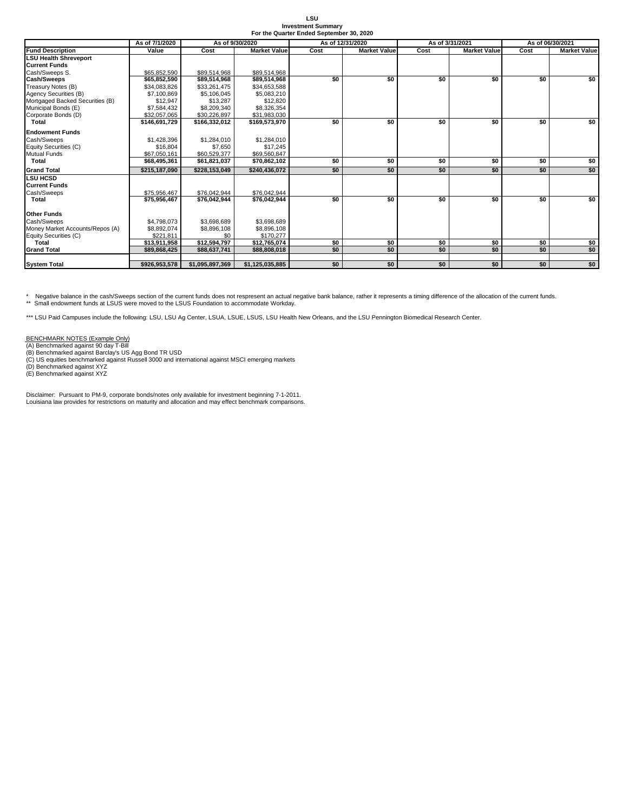| T SU                                     |
|------------------------------------------|
| <b>Investment Summary</b>                |
| For the Quarter Ended September 30, 2020 |

| For the Quarter Ended September 30, 2020<br>As of 3/31/2021<br>As of 9/30/2020 |                |                 |                     |                  |                     |      |                     |                  |                     |  |
|--------------------------------------------------------------------------------|----------------|-----------------|---------------------|------------------|---------------------|------|---------------------|------------------|---------------------|--|
|                                                                                | As of 7/1/2020 |                 |                     | As of 12/31/2020 |                     |      |                     | As of 06/30/2021 |                     |  |
| <b>Fund Description</b>                                                        | Value          | Cost            | <b>Market Value</b> | Cost             | <b>Market Value</b> | Cost | <b>Market Value</b> | Cost             | <b>Market Value</b> |  |
| <b>LSU Health Shreveport</b>                                                   |                |                 |                     |                  |                     |      |                     |                  |                     |  |
| <b>Current Funds</b>                                                           |                |                 |                     |                  |                     |      |                     |                  |                     |  |
| Cash/Sweeps S.                                                                 | \$65,852,590   | \$89,514,968    | \$89,514.968        |                  |                     |      |                     |                  |                     |  |
| <b>Cash/Sweeps</b>                                                             | \$65,852,590   | \$89,514,968    | \$89,514,968        | \$0              | \$0                 | \$0  | \$0                 | \$0              | \$0                 |  |
| Treasury Notes (B)                                                             | \$34.083.826   | \$33,261,475    | \$34,653,588        |                  |                     |      |                     |                  |                     |  |
| Agency Securities (B)                                                          | \$7,100,869    | \$5,106,045     | \$5,083,210         |                  |                     |      |                     |                  |                     |  |
| Mortgaged Backed Securities (B)                                                | \$12,947       | \$13,287        | \$12,820            |                  |                     |      |                     |                  |                     |  |
| Municipal Bonds (E)                                                            | \$7,584,432    | \$8,209,340     | \$8,326,354         |                  |                     |      |                     |                  |                     |  |
| Corporate Bonds (D)                                                            | \$32,057,065   | \$30,226,897    | \$31,983,030        |                  |                     |      |                     |                  |                     |  |
| <b>Total</b>                                                                   | \$146,691,729  | \$166,332,012   | \$169,573,970       | \$0              | \$0                 | \$0  | \$0                 | \$0              | \$0                 |  |
| <b>Endowment Funds</b>                                                         |                |                 |                     |                  |                     |      |                     |                  |                     |  |
| Cash/Sweeps                                                                    | \$1,428,396    | \$1.284.010     | \$1,284,010         |                  |                     |      |                     |                  |                     |  |
| Equity Securities (C)                                                          | \$16,804       | \$7.650         | \$17.245            |                  |                     |      |                     |                  |                     |  |
| <b>Mutual Funds</b>                                                            | \$67,050,161   | \$60,529,377    | \$69,560,847        |                  |                     |      |                     |                  |                     |  |
| <b>Total</b>                                                                   | \$68,495,361   | \$61,821,037    | \$70,862,102        | \$0              | \$0                 | \$0  | \$0                 | \$0              | \$0                 |  |
| <b>Grand Total</b>                                                             | \$215.187.090  | \$228.153.049   | \$240.436.072       | \$0              | \$0                 | \$0  | \$0                 | \$0              | \$0                 |  |
| <b>LSU HCSD</b>                                                                |                |                 |                     |                  |                     |      |                     |                  |                     |  |
| <b>Current Funds</b>                                                           |                |                 |                     |                  |                     |      |                     |                  |                     |  |
| Cash/Sweeps                                                                    | \$75.956.467   | \$76,042,944    | \$76,042,944        |                  |                     |      |                     |                  |                     |  |
| <b>Total</b>                                                                   | \$75,956,467   | \$76,042,944    | \$76,042,944        | \$0              | \$0                 | \$0  | \$0                 | \$0              | \$0                 |  |
| <b>Other Funds</b>                                                             |                |                 |                     |                  |                     |      |                     |                  |                     |  |
| Cash/Sweeps                                                                    | \$4.798.073    | \$3.698.689     | \$3.698.689         |                  |                     |      |                     |                  |                     |  |
| Money Market Accounts/Repos (A)                                                | \$8.892.074    | \$8,896,108     | \$8,896.108         |                  |                     |      |                     |                  |                     |  |
| Equity Securities (C)                                                          | \$221.811      | \$0             | \$170.277           |                  |                     |      |                     |                  |                     |  |
| Total                                                                          | \$13.911.958   | \$12,594,797    | \$12,765,074        | \$0              | \$0                 | \$0  | \$0                 | \$0              |                     |  |
| <b>Grand Total</b>                                                             | \$89,868,425   | \$88,637,741    | \$88,808,018        | \$0              | \$0                 | \$0  | \$0                 | \$0              | $\frac{$0}{$0}$     |  |
|                                                                                |                |                 | \$1,125,035,885     | \$0              | \$0                 | \$0  | \$0                 | \$0              |                     |  |
| <b>System Total</b>                                                            | \$926,953,578  | \$1,095,897,369 |                     |                  |                     |      |                     |                  | \$0                 |  |

\* Negative balance in the cash/Sweeps section of the current funds does not respresent an actual negative bank balance, rather it represents a timing difference of the allocation of the current funds.<br>\*\* Small endowment fu

\*\*\* LSU Paid Campuses include the following: LSU, LSU Ag Center, LSUA, LSUE, LSUS, LSU Health New Orleans, and the LSU Pennington Biomedical Research Center.

BENCHMARK NOTES (Example Only)<br>(A) Benchmarked against 90 day T-Bill<br>(B) Benchmarked against Barclay's US Agg Bond TR USD<br>(C) US equities benchmarked against Russell 3000 and international against MSCI emerging markets<br>(D)

Disclaimer: Pursuant to PM-9, corporate bonds/notes only available for investment beginning 7-1-2011. Louisiana law provides for restrictions on maturity and allocation and may effect benchmark comparisons.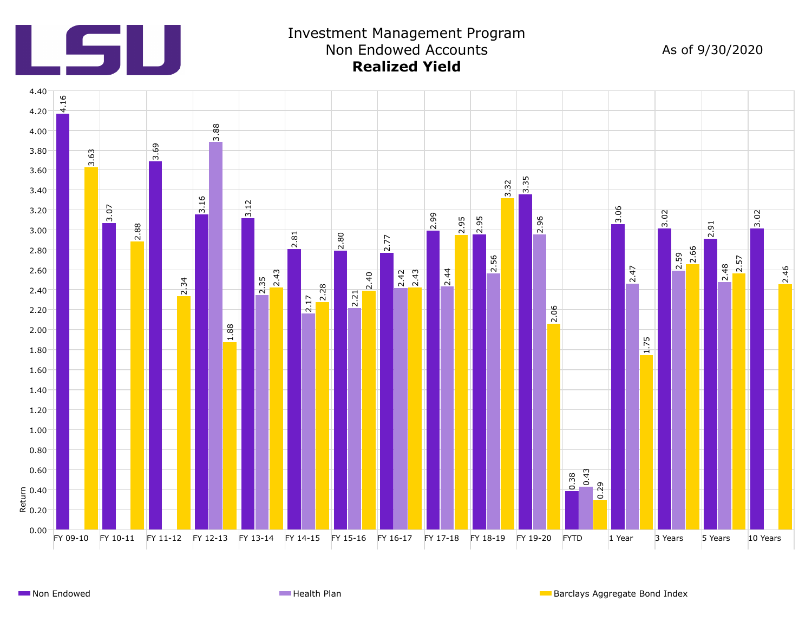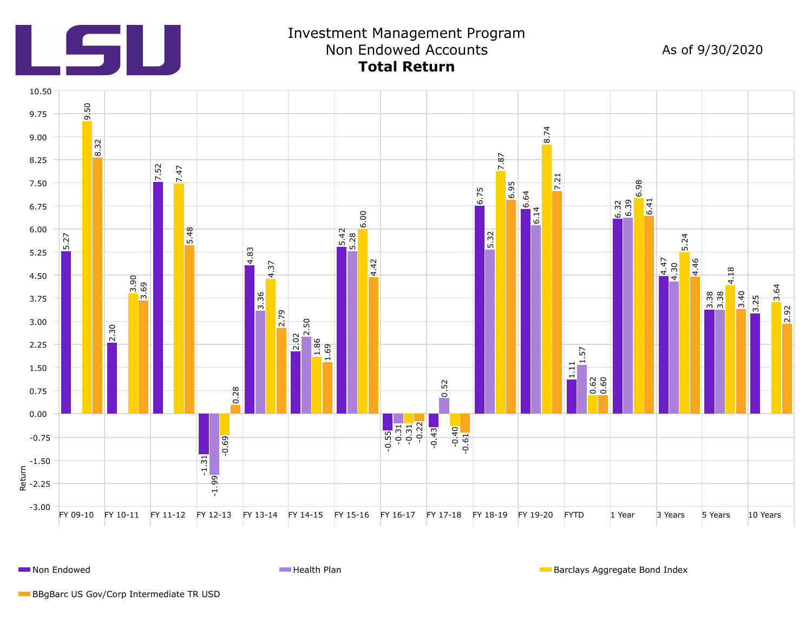

# Investment Management Program Non Endowed Accounts **Total Return**

As of 9/30/2020



**Non Endowed Health Plan Barclays Aggregate Bond Index Health Plan** Barclays Aggregate Bond Index

BBgBarc US Gov/Corp Intermediate TR USD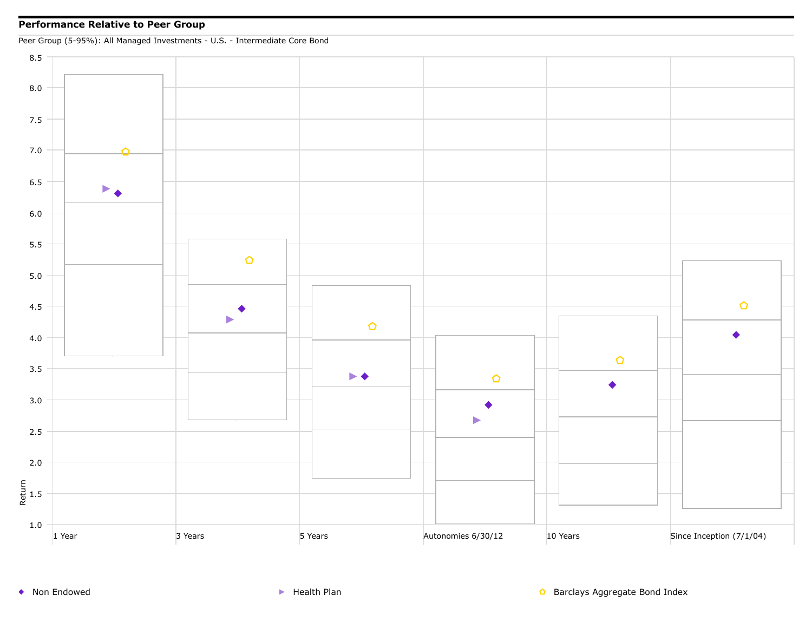### **Performance Relative to Peer Group**

Peer Group (5-95%): All Managed Investments - U.S. - Intermediate Core Bond

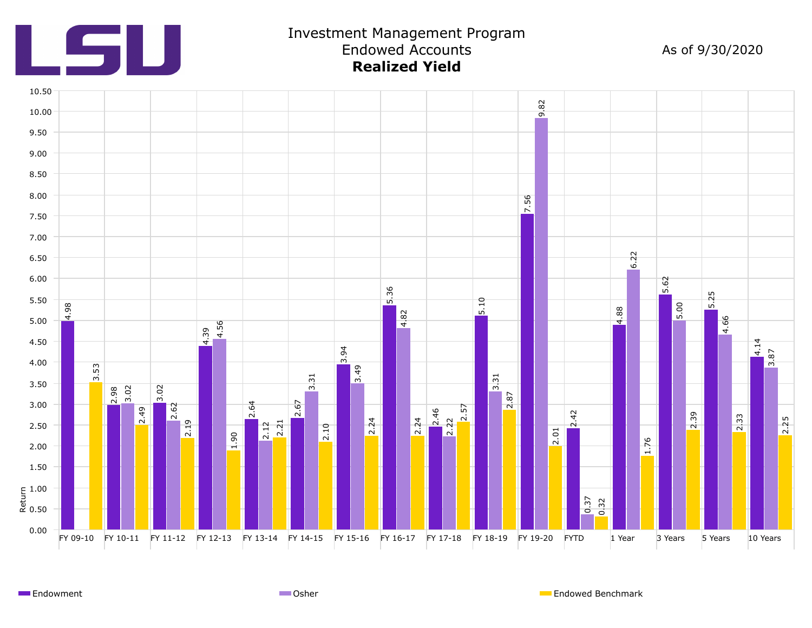

# Investment Management Program Endowed Accounts **Realized Yield**

As of 9/30/2020



Endowment **Endowed Benchmark** Communication Communication Communication Communication Communication Communication Communication Communication Communication Communication Communication Communication Communication Communicat